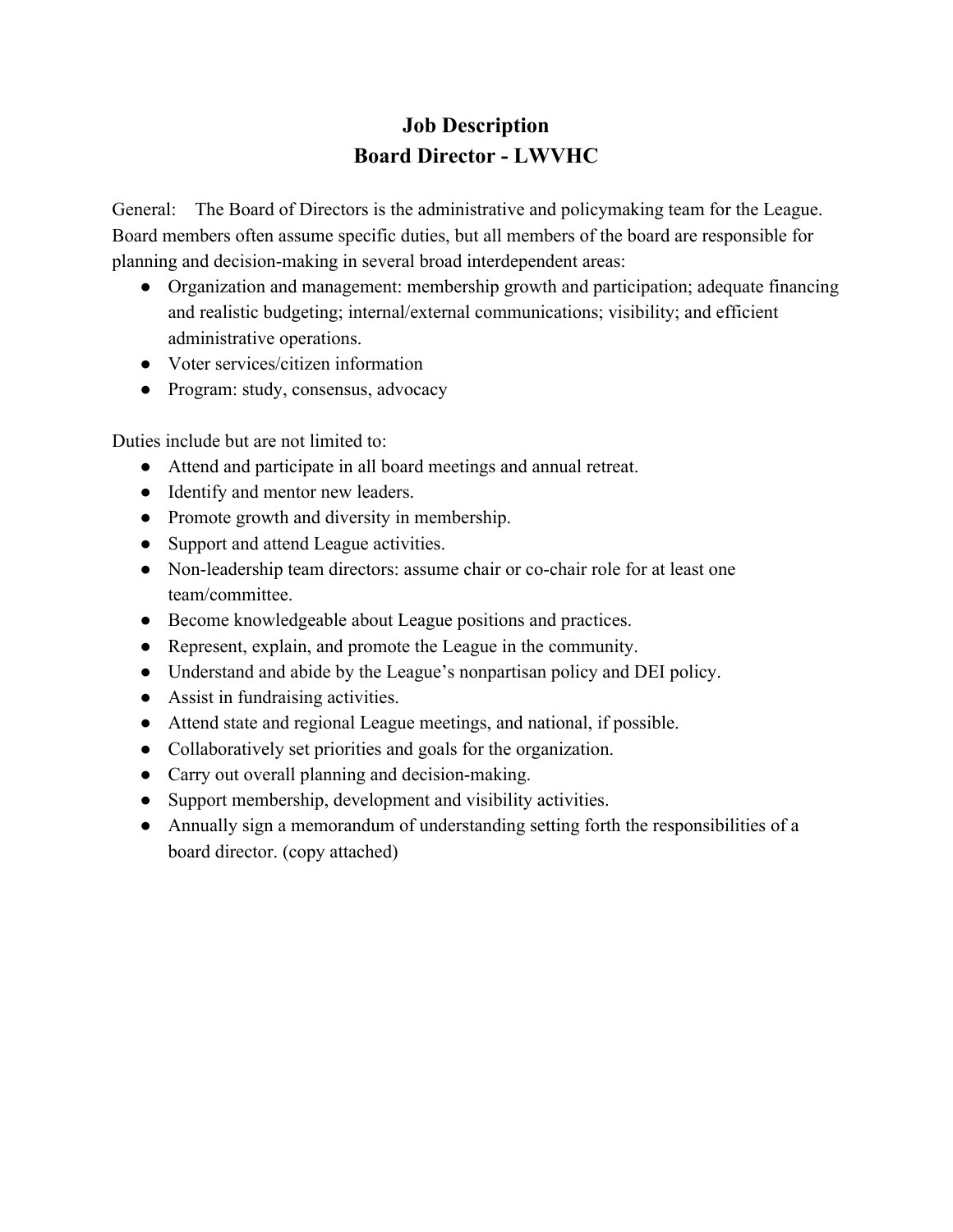# **Job Description Board Director - LWVHC**

General: The Board of Directors is the administrative and policymaking team for the League. Board members often assume specific duties, but all members of the board are responsible for planning and decision-making in several broad interdependent areas:

- Organization and management: membership growth and participation; adequate financing and realistic budgeting; internal/external communications; visibility; and efficient administrative operations.
- Voter services/citizen information
- Program: study, consensus, advocacy

Duties include but are not limited to:

- Attend and participate in all board meetings and annual retreat.
- Identify and mentor new leaders.
- Promote growth and diversity in membership.
- Support and attend League activities.
- Non-leadership team directors: assume chair or co-chair role for at least one team/committee.
- Become knowledgeable about League positions and practices.
- Represent, explain, and promote the League in the community.
- Understand and abide by the League's nonpartisan policy and DEI policy.
- Assist in fundraising activities.
- Attend state and regional League meetings, and national, if possible.
- Collaboratively set priorities and goals for the organization.
- Carry out overall planning and decision-making.
- Support membership, development and visibility activities.
- Annually sign a memorandum of understanding setting forth the responsibilities of a board director. (copy attached)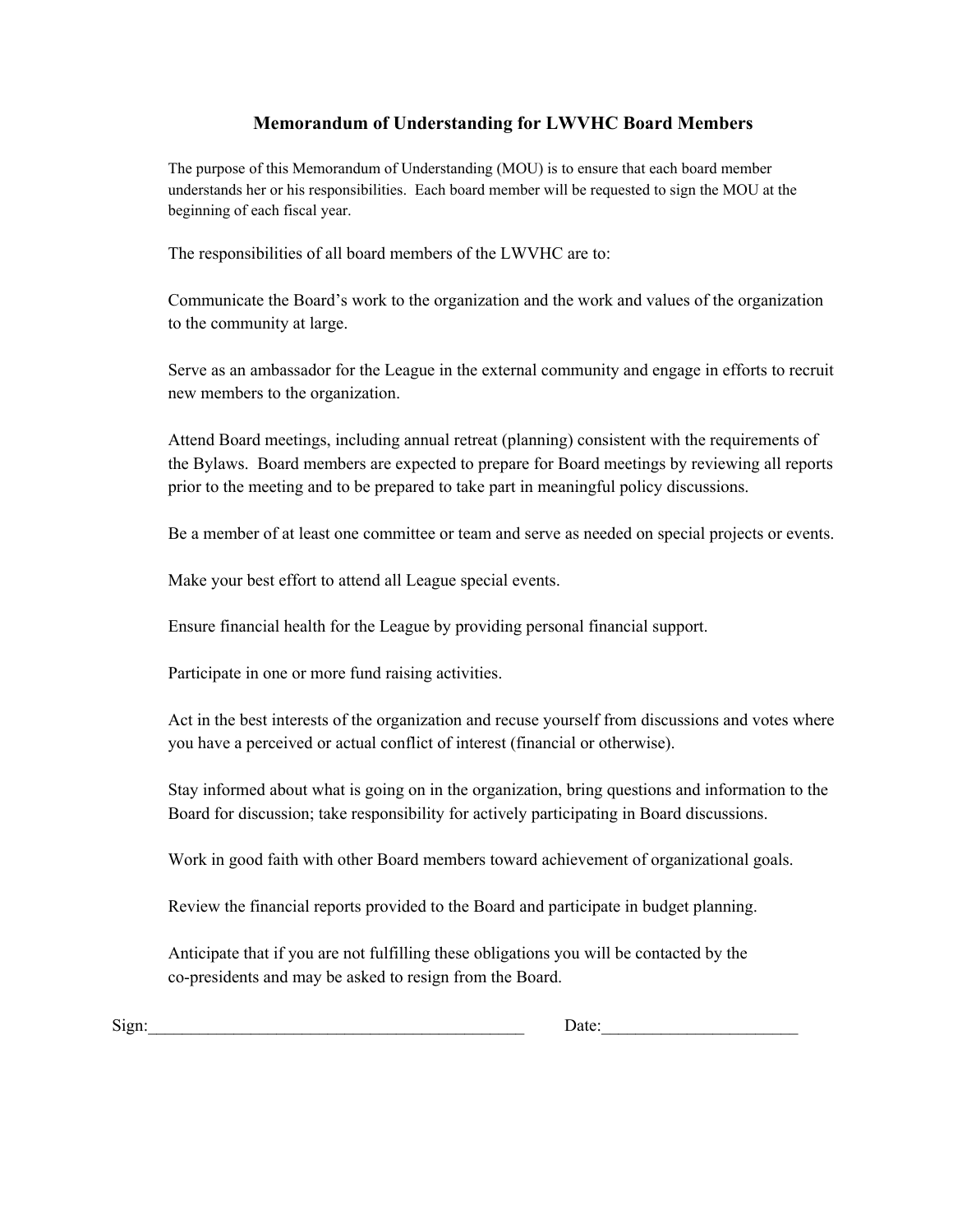#### **Memorandum of Understanding for LWVHC Board Members**

The purpose of this Memorandum of Understanding (MOU) is to ensure that each board member understands her or his responsibilities. Each board member will be requested to sign the MOU at the beginning of each fiscal year.

The responsibilities of all board members of the LWVHC are to:

Communicate the Board's work to the organization and the work and values of the organization to the community at large.

Serve as an ambassador for the League in the external community and engage in efforts to recruit new members to the organization.

Attend Board meetings, including annual retreat (planning) consistent with the requirements of the Bylaws. Board members are expected to prepare for Board meetings by reviewing all reports prior to the meeting and to be prepared to take part in meaningful policy discussions.

Be a member of at least one committee or team and serve as needed on special projects or events.

Make your best effort to attend all League special events.

Ensure financial health for the League by providing personal financial support.

Participate in one or more fund raising activities.

Act in the best interests of the organization and recuse yourself from discussions and votes where you have a perceived or actual conflict of interest (financial or otherwise).

Stay informed about what is going on in the organization, bring questions and information to the Board for discussion; take responsibility for actively participating in Board discussions.

Work in good faith with other Board members toward achievement of organizational goals.

Review the financial reports provided to the Board and participate in budget planning.

Anticipate that if you are not fulfilling these obligations you will be contacted by the co-presidents and may be asked to resign from the Board.

Sign: The contract of the contract of the contract of the contract of the contract of the contract of the contract of the contract of the contract of the contract of the contract of the contract of the contract of the cont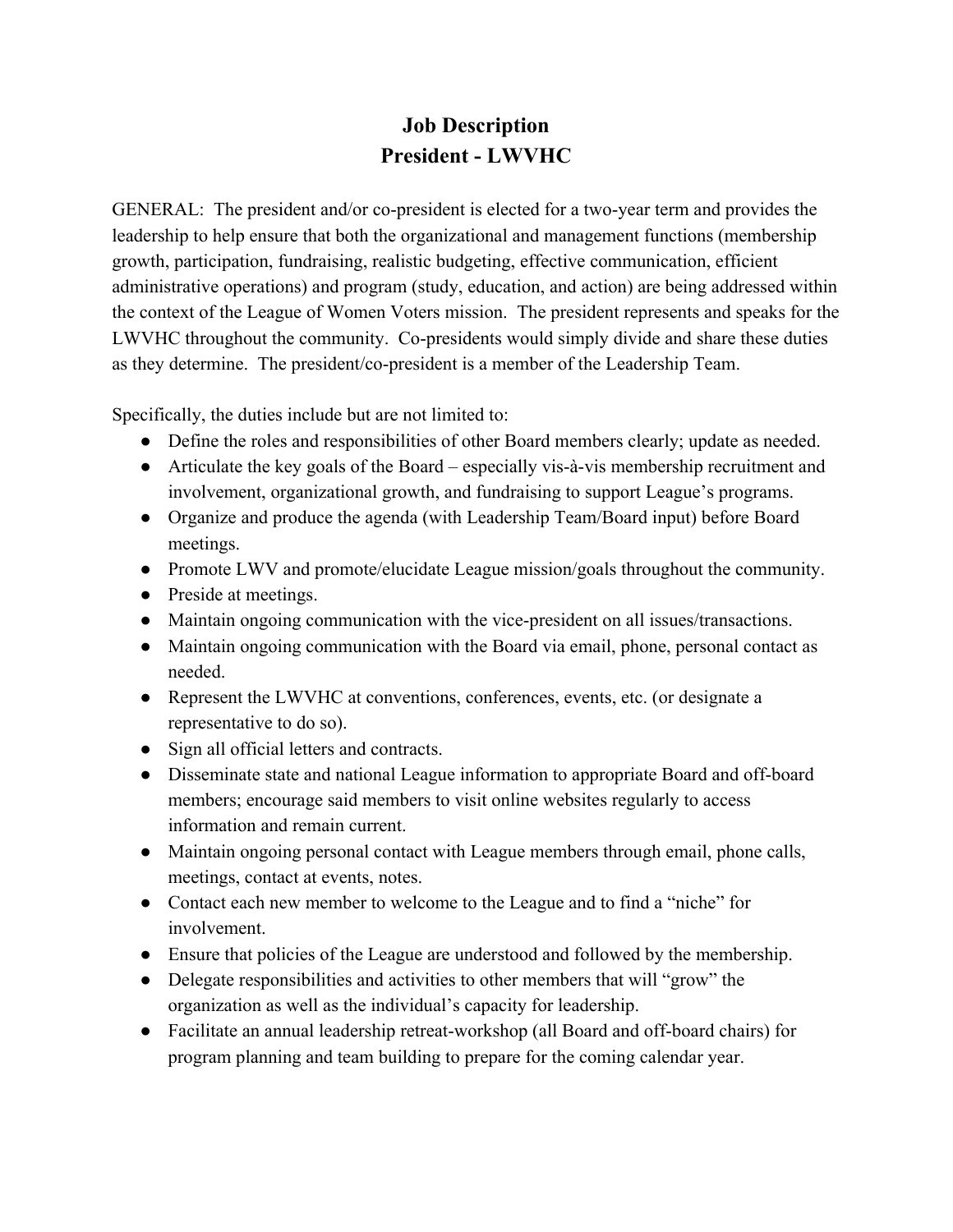# **Job Description President - LWVHC**

GENERAL: The president and/or co-president is elected for a two-year term and provides the leadership to help ensure that both the organizational and management functions (membership growth, participation, fundraising, realistic budgeting, effective communication, efficient administrative operations) and program (study, education, and action) are being addressed within the context of the League of Women Voters mission. The president represents and speaks for the LWVHC throughout the community. Co-presidents would simply divide and share these duties as they determine. The president/co-president is a member of the Leadership Team.

Specifically, the duties include but are not limited to:

- Define the roles and responsibilities of other Board members clearly; update as needed.
- Articulate the key goals of the Board especially vis-à-vis membership recruitment and involvement, organizational growth, and fundraising to support League's programs.
- Organize and produce the agenda (with Leadership Team/Board input) before Board meetings.
- Promote LWV and promote/elucidate League mission/goals throughout the community.
- Preside at meetings.
- Maintain ongoing communication with the vice-president on all issues/transactions.
- Maintain ongoing communication with the Board via email, phone, personal contact as needed.
- Represent the LWVHC at conventions, conferences, events, etc. (or designate a representative to do so).
- Sign all official letters and contracts.
- Disseminate state and national League information to appropriate Board and off-board members; encourage said members to visit online websites regularly to access information and remain current.
- Maintain ongoing personal contact with League members through email, phone calls, meetings, contact at events, notes.
- Contact each new member to welcome to the League and to find a "niche" for involvement.
- Ensure that policies of the League are understood and followed by the membership.
- Delegate responsibilities and activities to other members that will "grow" the organization as well as the individual's capacity for leadership.
- Facilitate an annual leadership retreat-workshop (all Board and off-board chairs) for program planning and team building to prepare for the coming calendar year.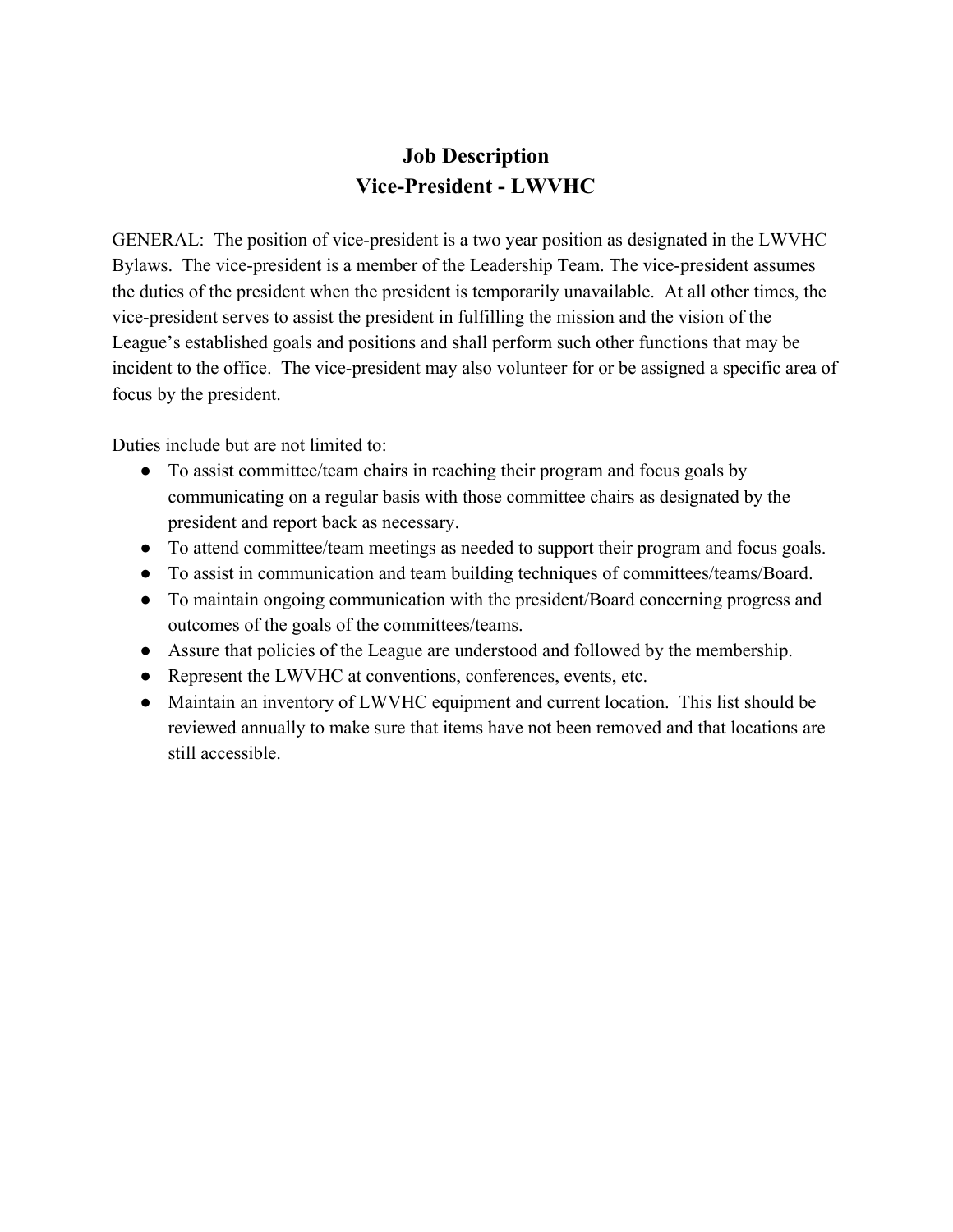### **Job Description Vice-President - LWVHC**

GENERAL: The position of vice-president is a two year position as designated in the LWVHC Bylaws. The vice-president is a member of the Leadership Team. The vice-president assumes the duties of the president when the president is temporarily unavailable. At all other times, the vice-president serves to assist the president in fulfilling the mission and the vision of the League's established goals and positions and shall perform such other functions that may be incident to the office. The vice-president may also volunteer for or be assigned a specific area of focus by the president.

Duties include but are not limited to:

- To assist committee/team chairs in reaching their program and focus goals by communicating on a regular basis with those committee chairs as designated by the president and report back as necessary.
- To attend committee/team meetings as needed to support their program and focus goals.
- To assist in communication and team building techniques of committees/teams/Board.
- To maintain ongoing communication with the president/Board concerning progress and outcomes of the goals of the committees/teams.
- Assure that policies of the League are understood and followed by the membership.
- Represent the LWVHC at conventions, conferences, events, etc.
- Maintain an inventory of LWVHC equipment and current location. This list should be reviewed annually to make sure that items have not been removed and that locations are still accessible.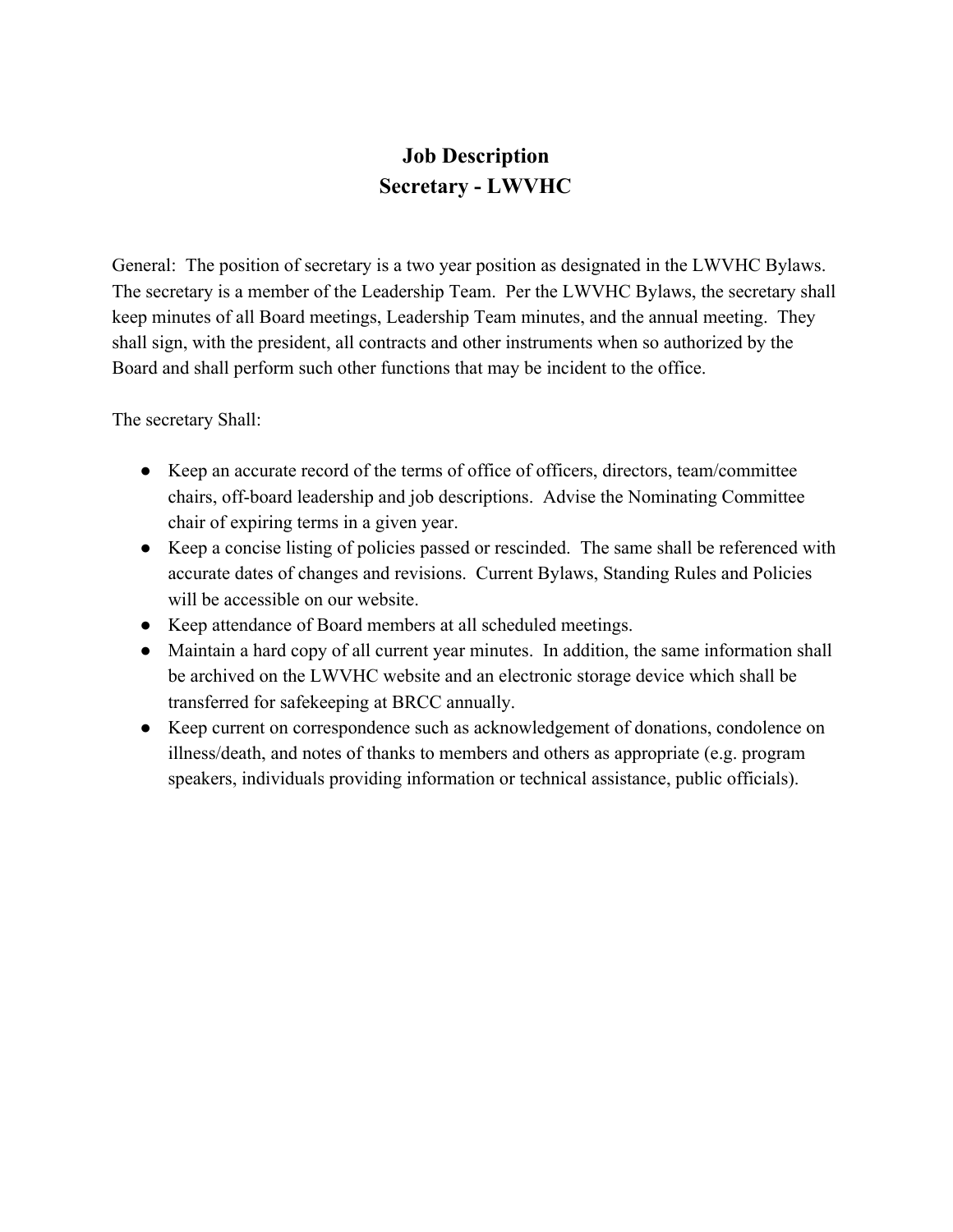# **Job Description Secretary - LWVHC**

General: The position of secretary is a two year position as designated in the LWVHC Bylaws. The secretary is a member of the Leadership Team. Per the LWVHC Bylaws, the secretary shall keep minutes of all Board meetings, Leadership Team minutes, and the annual meeting. They shall sign, with the president, all contracts and other instruments when so authorized by the Board and shall perform such other functions that may be incident to the office.

The secretary Shall:

- Keep an accurate record of the terms of office of officers, directors, team/committee chairs, off-board leadership and job descriptions. Advise the Nominating Committee chair of expiring terms in a given year.
- Keep a concise listing of policies passed or rescinded. The same shall be referenced with accurate dates of changes and revisions. Current Bylaws, Standing Rules and Policies will be accessible on our website.
- Keep attendance of Board members at all scheduled meetings.
- Maintain a hard copy of all current year minutes. In addition, the same information shall be archived on the LWVHC website and an electronic storage device which shall be transferred for safekeeping at BRCC annually.
- Keep current on correspondence such as acknowledgement of donations, condolence on illness/death, and notes of thanks to members and others as appropriate (e.g. program speakers, individuals providing information or technical assistance, public officials).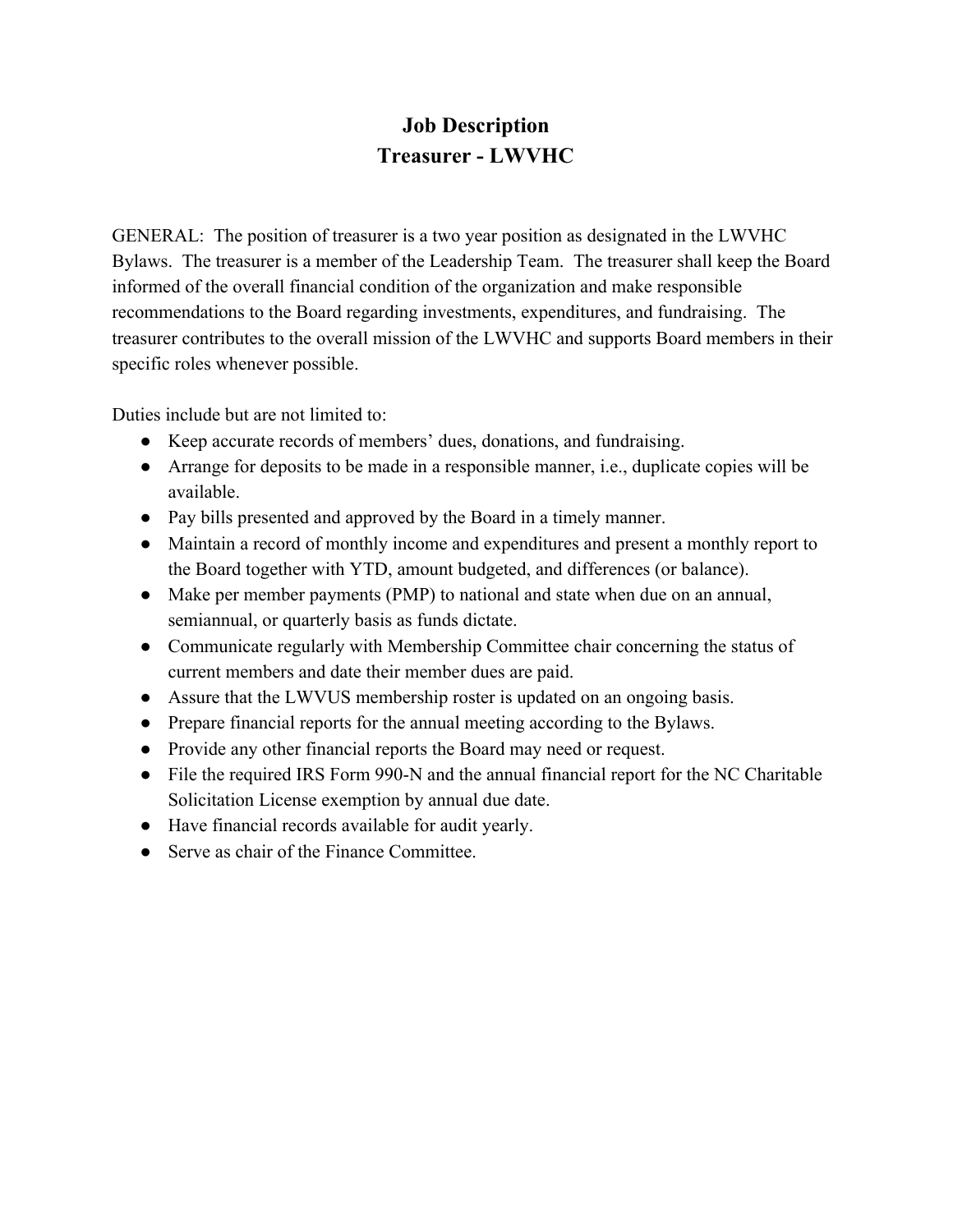# **Job Description Treasurer - LWVHC**

GENERAL: The position of treasurer is a two year position as designated in the LWVHC Bylaws. The treasurer is a member of the Leadership Team. The treasurer shall keep the Board informed of the overall financial condition of the organization and make responsible recommendations to the Board regarding investments, expenditures, and fundraising. The treasurer contributes to the overall mission of the LWVHC and supports Board members in their specific roles whenever possible.

Duties include but are not limited to:

- Keep accurate records of members' dues, donations, and fundraising.
- Arrange for deposits to be made in a responsible manner, i.e., duplicate copies will be available.
- Pay bills presented and approved by the Board in a timely manner.
- Maintain a record of monthly income and expenditures and present a monthly report to the Board together with YTD, amount budgeted, and differences (or balance).
- Make per member payments (PMP) to national and state when due on an annual, semiannual, or quarterly basis as funds dictate.
- Communicate regularly with Membership Committee chair concerning the status of current members and date their member dues are paid.
- Assure that the LWVUS membership roster is updated on an ongoing basis.
- Prepare financial reports for the annual meeting according to the Bylaws.
- Provide any other financial reports the Board may need or request.
- File the required IRS Form 990-N and the annual financial report for the NC Charitable Solicitation License exemption by annual due date.
- Have financial records available for audit yearly.
- Serve as chair of the Finance Committee.